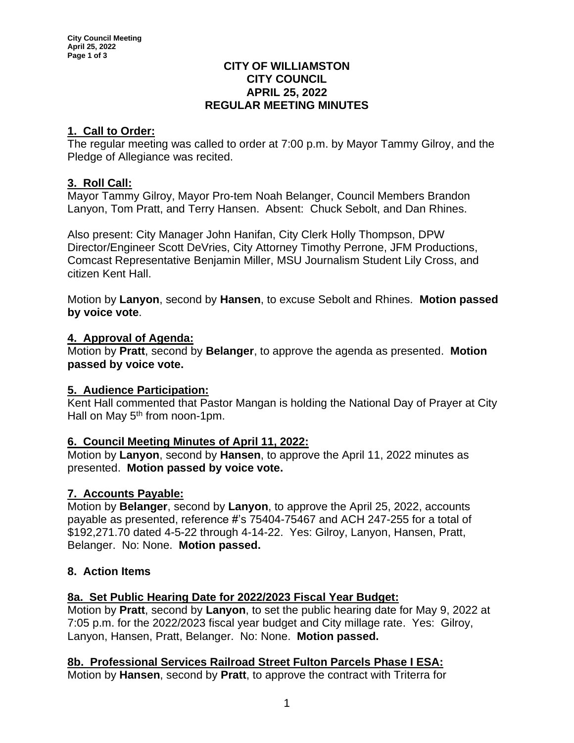#### **CITY OF WILLIAMSTON CITY COUNCIL APRIL 25, 2022 REGULAR MEETING MINUTES**

# **1. Call to Order:**

The regular meeting was called to order at 7:00 p.m. by Mayor Tammy Gilroy, and the Pledge of Allegiance was recited.

## **3. Roll Call:**

Mayor Tammy Gilroy, Mayor Pro-tem Noah Belanger, Council Members Brandon Lanyon, Tom Pratt, and Terry Hansen. Absent: Chuck Sebolt, and Dan Rhines.

Also present: City Manager John Hanifan, City Clerk Holly Thompson, DPW Director/Engineer Scott DeVries, City Attorney Timothy Perrone, JFM Productions, Comcast Representative Benjamin Miller, MSU Journalism Student Lily Cross, and citizen Kent Hall.

Motion by **Lanyon**, second by **Hansen**, to excuse Sebolt and Rhines. **Motion passed by voice vote**.

### **4. Approval of Agenda:**

Motion by **Pratt**, second by **Belanger**, to approve the agenda as presented. **Motion passed by voice vote.**

### **5. Audience Participation:**

Kent Hall commented that Pastor Mangan is holding the National Day of Prayer at City Hall on May 5<sup>th</sup> from noon-1pm.

### **6. Council Meeting Minutes of April 11, 2022:**

Motion by **Lanyon**, second by **Hansen**, to approve the April 11, 2022 minutes as presented. **Motion passed by voice vote.**

### **7. Accounts Payable:**

Motion by **Belanger**, second by **Lanyon**, to approve the April 25, 2022, accounts payable as presented, reference #'s 75404-75467 and ACH 247-255 for a total of \$192,271.70 dated 4-5-22 through 4-14-22. Yes: Gilroy, Lanyon, Hansen, Pratt, Belanger. No: None. **Motion passed.**

# **8. Action Items**

### **8a. Set Public Hearing Date for 2022/2023 Fiscal Year Budget:**

Motion by **Pratt**, second by **Lanyon**, to set the public hearing date for May 9, 2022 at 7:05 p.m. for the 2022/2023 fiscal year budget and City millage rate. Yes: Gilroy, Lanyon, Hansen, Pratt, Belanger. No: None. **Motion passed.**

# **8b. Professional Services Railroad Street Fulton Parcels Phase I ESA:**

Motion by **Hansen**, second by **Pratt**, to approve the contract with Triterra for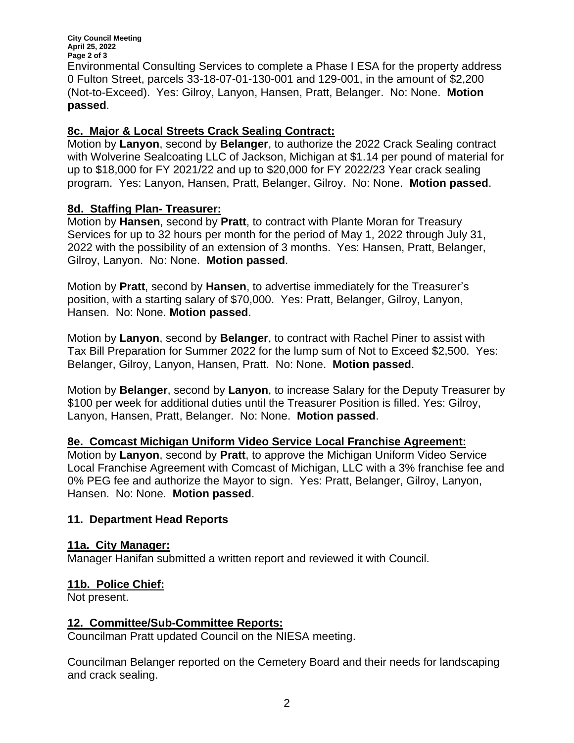**City Council Meeting April 25, 2022 Page 2 of 3** Environmental Consulting Services to complete a Phase I ESA for the property address 0 Fulton Street, parcels 33-18-07-01-130-001 and 129-001, in the amount of \$2,200 (Not-to-Exceed). Yes: Gilroy, Lanyon, Hansen, Pratt, Belanger. No: None. **Motion passed**.

### **8c. Major & Local Streets Crack Sealing Contract:**

Motion by **Lanyon**, second by **Belanger**, to authorize the 2022 Crack Sealing contract with Wolverine Sealcoating LLC of Jackson, Michigan at \$1.14 per pound of material for up to \$18,000 for FY 2021/22 and up to \$20,000 for FY 2022/23 Year crack sealing program. Yes: Lanyon, Hansen, Pratt, Belanger, Gilroy. No: None. **Motion passed**.

## **8d. Staffing Plan- Treasurer:**

Motion by **Hansen**, second by **Pratt**, to contract with Plante Moran for Treasury Services for up to 32 hours per month for the period of May 1, 2022 through July 31, 2022 with the possibility of an extension of 3 months. Yes: Hansen, Pratt, Belanger, Gilroy, Lanyon. No: None. **Motion passed**.

Motion by **Pratt**, second by **Hansen**, to advertise immediately for the Treasurer's position, with a starting salary of \$70,000. Yes: Pratt, Belanger, Gilroy, Lanyon, Hansen. No: None. **Motion passed**.

Motion by **Lanyon**, second by **Belanger**, to contract with Rachel Piner to assist with Tax Bill Preparation for Summer 2022 for the lump sum of Not to Exceed \$2,500. Yes: Belanger, Gilroy, Lanyon, Hansen, Pratt. No: None. **Motion passed**.

Motion by **Belanger**, second by **Lanyon**, to increase Salary for the Deputy Treasurer by \$100 per week for additional duties until the Treasurer Position is filled. Yes: Gilroy, Lanyon, Hansen, Pratt, Belanger. No: None. **Motion passed**.

**8e. Comcast Michigan Uniform Video Service Local Franchise Agreement:** 

Motion by **Lanyon**, second by **Pratt**, to approve the Michigan Uniform Video Service Local Franchise Agreement with Comcast of Michigan, LLC with a 3% franchise fee and 0% PEG fee and authorize the Mayor to sign. Yes: Pratt, Belanger, Gilroy, Lanyon, Hansen. No: None. **Motion passed**.

### **11. Department Head Reports**

### **11a. City Manager:**

Manager Hanifan submitted a written report and reviewed it with Council.

### **11b. Police Chief:**

Not present.

### **12. Committee/Sub-Committee Reports:**

Councilman Pratt updated Council on the NIESA meeting.

Councilman Belanger reported on the Cemetery Board and their needs for landscaping and crack sealing.